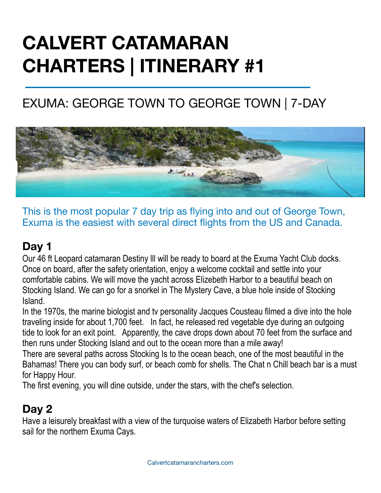# **CALVERT CATAMARAN CHARTERS | ITINERARY #1**

# EXUMA: GEORGE TOWN TO GEORGE TOWN | 7-DAY



This is the most popular 7 day trip as flying into and out of George Town, Exuma is the easiest with several direct flights from the US and Canada.

#### **Day 1**

Our 46 ft Leopard catamaran Destiny lll will be ready to board at the Exuma Yacht Club docks. Once on board, after the safety orientation, enjoy a welcome cocktail and settle into your comfortable cabins. We will move the yacht across Elizebeth Harbor to a beautiful beach on Stocking Island. We can go for a snorkel in The Mystery Cave, a blue hole inside of Stocking Island.

In the 1970s, the marine biologist and tv personality Jacques Cousteau filmed a dive into the hole traveling inside for about 1,700 feet. In fact, he released red vegetable dye during an outgoing tide to look for an exit point. Apparently, the cave drops down about 70 feet from the surface and then runs under Stocking Island and out to the ocean more than a mile away!

There are several paths across Stocking Is to the ocean beach, one of the most beautiful in the Bahamas! There you can body surf, or beach comb for shells. The Chat n Chill beach bar is a must for Happy Hour.

The first evening, you will dine outside, under the stars, with the chef's selection.

#### **Day 2**

Have a leisurely breakfast with a view of the turquoise waters of Elizabeth Harbor before setting sail for the northern Exuma Cays.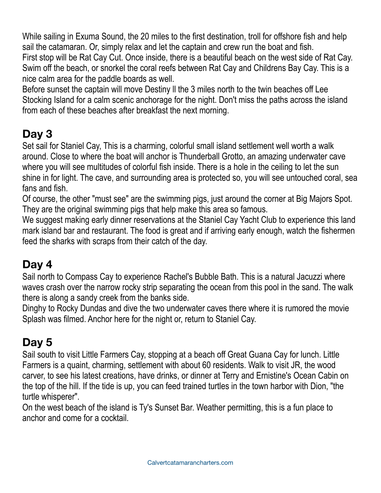While sailing in Exuma Sound, the 20 miles to the first destination, troll for offshore fish and help sail the catamaran. Or, simply relax and let the captain and crew run the boat and fish.

First stop will be Rat Cay Cut. Once inside, there is a beautiful beach on the west side of Rat Cay. Swim off the beach, or snorkel the coral reefs between Rat Cay and Childrens Bay Cay. This is a nice calm area for the paddle boards as well.

Before sunset the captain will move Destiny ll the 3 miles north to the twin beaches off Lee Stocking Island for a calm scenic anchorage for the night. Don't miss the paths across the island from each of these beaches after breakfast the next morning.

## **Day 3**

Set sail for Staniel Cay, This is a charming, colorful small island settlement well worth a walk around. Close to where the boat will anchor is Thunderball Grotto, an amazing underwater cave where you will see multitudes of colorful fish inside. There is a hole in the ceiling to let the sun shine in for light. The cave, and surrounding area is protected so, you will see untouched coral, sea fans and fish.

Of course, the other "must see" are the swimming pigs, just around the corner at Big Majors Spot. They are the original swimming pigs that help make this area so famous.

We suggest making early dinner reservations at the Staniel Cay Yacht Club to experience this land mark island bar and restaurant. The food is great and if arriving early enough, watch the fishermen feed the sharks with scraps from their catch of the day.

### **Day 4**

Sail north to Compass Cay to experience Rachel's Bubble Bath. This is a natural Jacuzzi where waves crash over the narrow rocky strip separating the ocean from this pool in the sand. The walk there is along a sandy creek from the banks side.

Dinghy to Rocky Dundas and dive the two underwater caves there where it is rumored the movie Splash was filmed. Anchor here for the night or, return to Staniel Cay.

## **Day 5**

Sail south to visit Little Farmers Cay, stopping at a beach off Great Guana Cay for lunch. Little Farmers is a quaint, charming, settlement with about 60 residents. Walk to visit JR, the wood carver, to see his latest creations, have drinks, or dinner at Terry and Ernistine's Ocean Cabin on the top of the hill. If the tide is up, you can feed trained turtles in the town harbor with Dion, "the turtle whisperer".

On the west beach of the island is Ty's Sunset Bar. Weather permitting, this is a fun place to anchor and come for a cocktail.